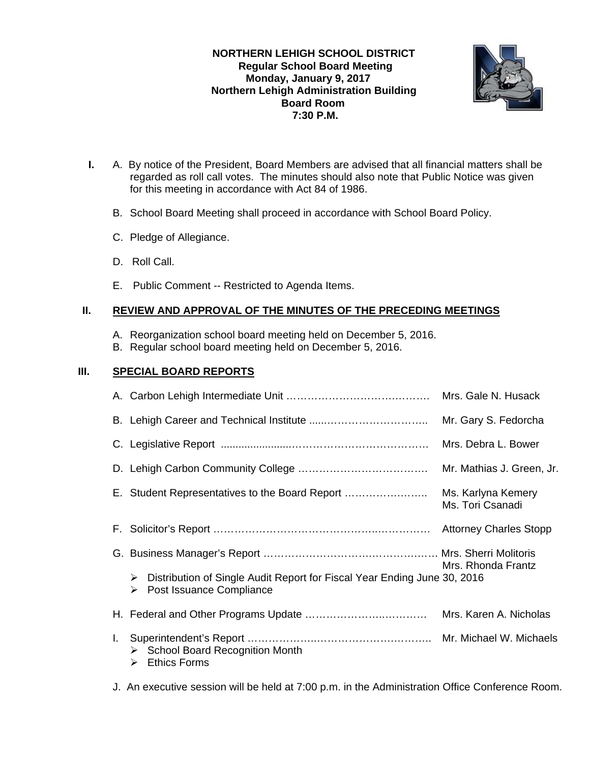**NORTHERN LEHIGH SCHOOL DISTRICT Regular School Board Meeting Monday, January 9, 2017 Northern Lehigh Administration Building Board Room 7:30 P.M.** 



- **I.** A. By notice of the President, Board Members are advised that all financial matters shall be regarded as roll call votes. The minutes should also note that Public Notice was given for this meeting in accordance with Act 84 of 1986.
	- B. School Board Meeting shall proceed in accordance with School Board Policy.
	- C. Pledge of Allegiance.
	- D. Roll Call.
	- E. Public Comment -- Restricted to Agenda Items.

## **II. REVIEW AND APPROVAL OF THE MINUTES OF THE PRECEDING MEETINGS**

- A. Reorganization school board meeting held on December 5, 2016.
- B. Regular school board meeting held on December 5, 2016.

## **III. SPECIAL BOARD REPORTS**

|    |                                                                                                                | Mrs. Gale N. Husack                    |  |
|----|----------------------------------------------------------------------------------------------------------------|----------------------------------------|--|
|    |                                                                                                                | Mr. Gary S. Fedorcha                   |  |
|    |                                                                                                                | Mrs. Debra L. Bower                    |  |
|    |                                                                                                                | Mr. Mathias J. Green, Jr.              |  |
|    | E. Student Representatives to the Board Report                                                                 | Ms. Karlyna Kemery<br>Ms. Tori Csanadi |  |
|    |                                                                                                                |                                        |  |
|    |                                                                                                                | Mrs. Rhonda Frantz                     |  |
|    | Distribution of Single Audit Report for Fiscal Year Ending June 30, 2016<br>➤<br>Post Issuance Compliance<br>➤ |                                        |  |
|    |                                                                                                                |                                        |  |
| L. | $\triangleright$ School Board Recognition Month<br><b>Ethics Forms</b><br>⋗                                    |                                        |  |

J. An executive session will be held at 7:00 p.m. in the Administration Office Conference Room.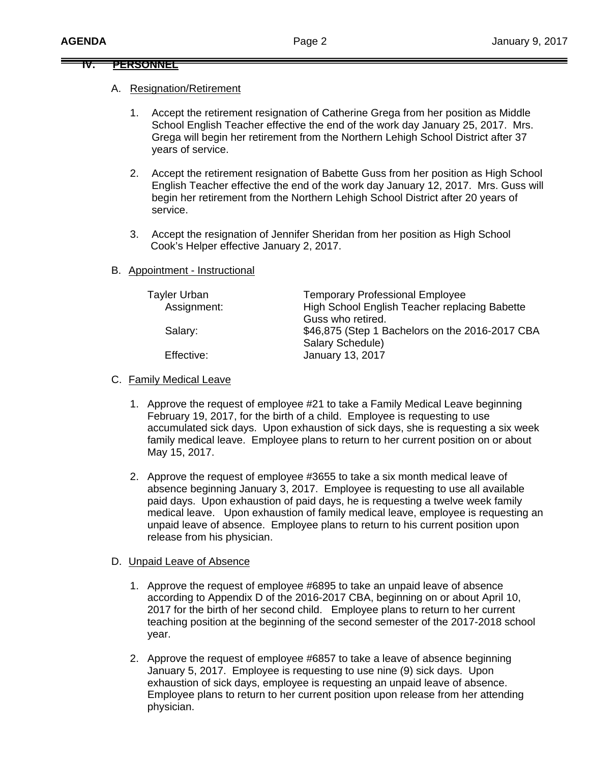### **IV. PERSONNEL**

#### A. Resignation/Retirement

- 1. Accept the retirement resignation of Catherine Grega from her position as Middle School English Teacher effective the end of the work day January 25, 2017. Mrs. Grega will begin her retirement from the Northern Lehigh School District after 37 years of service.
- 2. Accept the retirement resignation of Babette Guss from her position as High School English Teacher effective the end of the work day January 12, 2017. Mrs. Guss will begin her retirement from the Northern Lehigh School District after 20 years of service.
- 3. Accept the resignation of Jennifer Sheridan from her position as High School Cook's Helper effective January 2, 2017.
- B. Appointment Instructional

| Tayler Urban<br>Assignment: | <b>Temporary Professional Employee</b><br>High School English Teacher replacing Babette<br>Guss who retired. |
|-----------------------------|--------------------------------------------------------------------------------------------------------------|
| Salary:                     | \$46,875 (Step 1 Bachelors on the 2016-2017 CBA<br>Salary Schedule)                                          |
| Effective:                  | <b>January 13, 2017</b>                                                                                      |

#### C. Family Medical Leave

- 1. Approve the request of employee #21 to take a Family Medical Leave beginning February 19, 2017, for the birth of a child. Employee is requesting to use accumulated sick days. Upon exhaustion of sick days, she is requesting a six week family medical leave. Employee plans to return to her current position on or about May 15, 2017.
- 2. Approve the request of employee #3655 to take a six month medical leave of absence beginning January 3, 2017. Employee is requesting to use all available paid days. Upon exhaustion of paid days, he is requesting a twelve week family medical leave. Upon exhaustion of family medical leave, employee is requesting an unpaid leave of absence. Employee plans to return to his current position upon release from his physician.

#### D. Unpaid Leave of Absence

- 1. Approve the request of employee #6895 to take an unpaid leave of absence according to Appendix D of the 2016-2017 CBA, beginning on or about April 10, 2017 for the birth of her second child. Employee plans to return to her current teaching position at the beginning of the second semester of the 2017-2018 school year.
- 2. Approve the request of employee #6857 to take a leave of absence beginning January 5, 2017. Employee is requesting to use nine (9) sick days. Upon exhaustion of sick days, employee is requesting an unpaid leave of absence. Employee plans to return to her current position upon release from her attending physician.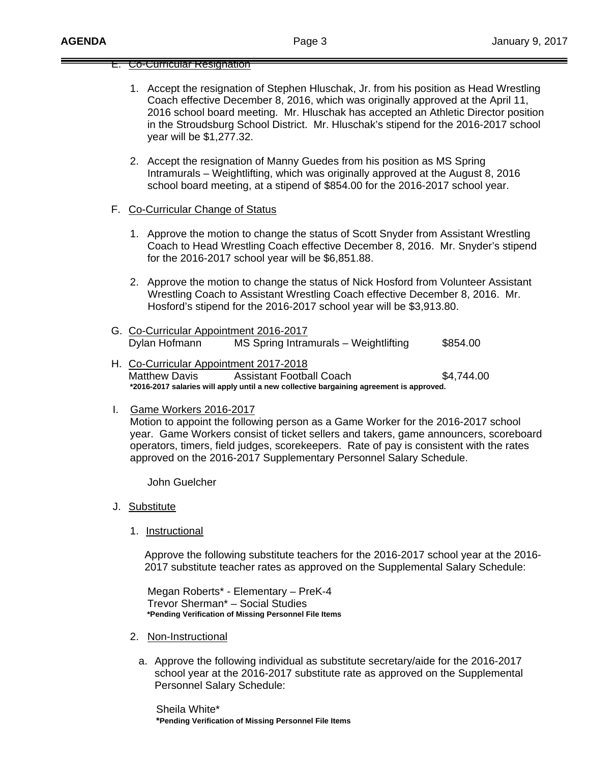#### E. Co-Curricular Resignation

- 1. Accept the resignation of Stephen Hluschak, Jr. from his position as Head Wrestling Coach effective December 8, 2016, which was originally approved at the April 11, 2016 school board meeting. Mr. Hluschak has accepted an Athletic Director position in the Stroudsburg School District. Mr. Hluschak's stipend for the 2016-2017 school year will be \$1,277.32.
- 2. Accept the resignation of Manny Guedes from his position as MS Spring Intramurals – Weightlifting, which was originally approved at the August 8, 2016 school board meeting, at a stipend of \$854.00 for the 2016-2017 school year.
- F. Co-Curricular Change of Status
	- 1. Approve the motion to change the status of Scott Snyder from Assistant Wrestling Coach to Head Wrestling Coach effective December 8, 2016. Mr. Snyder's stipend for the 2016-2017 school year will be \$6,851.88.
	- 2. Approve the motion to change the status of Nick Hosford from Volunteer Assistant Wrestling Coach to Assistant Wrestling Coach effective December 8, 2016. Mr. Hosford's stipend for the 2016-2017 school year will be \$3,913.80.
- G. Co-Curricular Appointment 2016-2017 Dylan Hofmann MS Spring Intramurals – Weightlifting \$854.00
- H. Co-Curricular Appointment 2017-2018 Matthew Davis Assistant Football Coach 54,744.00  **\*2016-2017 salaries will apply until a new collective bargaining agreement is approved.**
- I. Game Workers 2016-2017 Motion to appoint the following person as a Game Worker for the 2016-2017 school year. Game Workers consist of ticket sellers and takers, game announcers, scoreboard operators, timers, field judges, scorekeepers. Rate of pay is consistent with the rates approved on the 2016-2017 Supplementary Personnel Salary Schedule.

John Guelcher

- J. Substitute
	- 1. Instructional

 Approve the following substitute teachers for the 2016-2017 school year at the 2016- 2017 substitute teacher rates as approved on the Supplemental Salary Schedule:

 Megan Roberts\* - Elementary – PreK-4 Trevor Sherman\* – Social Studies  **\*Pending Verification of Missing Personnel File Items** 

- 2. Non-Instructional
	- a. Approve the following individual as substitute secretary/aide for the 2016-2017 school year at the 2016-2017 substitute rate as approved on the Supplemental Personnel Salary Schedule:

 Sheila White\* **\*Pending Verification of Missing Personnel File Items**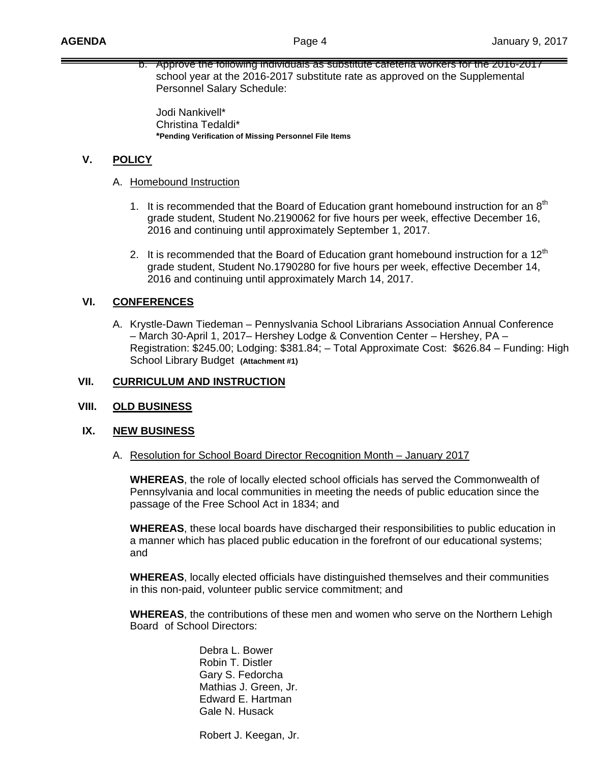b. Approve the following individuals as substitute cafeteria workers for the 2016-2017 school year at the 2016-2017 substitute rate as approved on the Supplemental Personnel Salary Schedule:

 Jodi Nankivell\* Christina Tedaldi\* **\*Pending Verification of Missing Personnel File Items** 

# **V. POLICY**

- A. Homebound Instruction
	- 1. It is recommended that the Board of Education grant homebound instruction for an  $8<sup>th</sup>$ grade student, Student No.2190062 for five hours per week, effective December 16, 2016 and continuing until approximately September 1, 2017.
	- 2. It is recommended that the Board of Education grant homebound instruction for a  $12<sup>th</sup>$ grade student, Student No.1790280 for five hours per week, effective December 14, 2016 and continuing until approximately March 14, 2017.

## **VI. CONFERENCES**

A. Krystle-Dawn Tiedeman – Pennyslvania School Librarians Association Annual Conference – March 30-April 1, 2017– Hershey Lodge & Convention Center – Hershey, PA – Registration: \$245.00; Lodging: \$381.84; – Total Approximate Cost: \$626.84 – Funding: High School Library Budget **(Attachment #1)** 

### **VII. CURRICULUM AND INSTRUCTION**

## **VIII. OLD BUSINESS**

#### **IX. NEW BUSINESS**

A. Resolution for School Board Director Recognition Month – January 2017

**WHEREAS**, the role of locally elected school officials has served the Commonwealth of Pennsylvania and local communities in meeting the needs of public education since the passage of the Free School Act in 1834; and

**WHEREAS**, these local boards have discharged their responsibilities to public education in a manner which has placed public education in the forefront of our educational systems; and

**WHEREAS**, locally elected officials have distinguished themselves and their communities in this non-paid, volunteer public service commitment; and

**WHEREAS**, the contributions of these men and women who serve on the Northern Lehigh Board of School Directors:

> Debra L. Bower Robin T. Distler Gary S. Fedorcha Mathias J. Green, Jr. Edward E. Hartman Gale N. Husack

Robert J. Keegan, Jr.